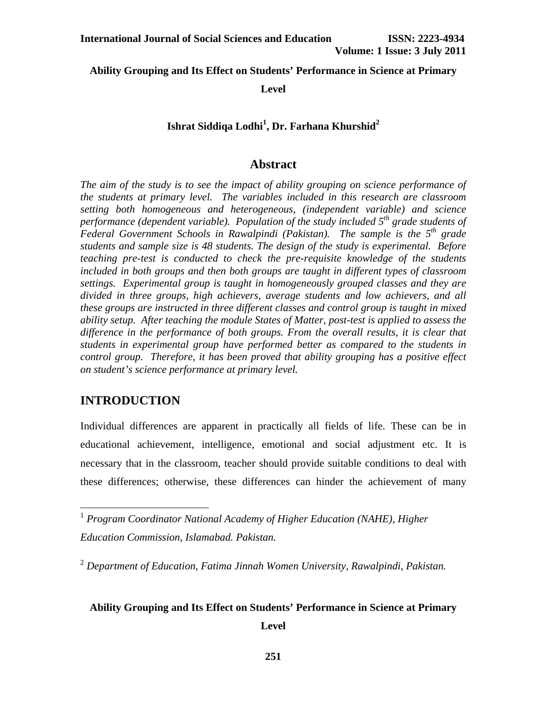## **Ability Grouping and Its Effect on Students' Performance in Science at Primary**

**Level** 

# **Ishrat Siddiqa Lodhi<sup>1</sup> , Dr. Farhana Khurshid2**

# **Abstract**

*The aim of the study is to see the impact of ability grouping on science performance of the students at primary level. The variables included in this research are classroom setting both homogeneous and heterogeneous, (independent variable) and science performance (dependent variable). Population of the study included 5<sup>th</sup> grade students of Federal Government Schools in Rawalpindi (Pakistan). The sample is the 5<sup>th</sup> grade students and sample size is 48 students. The design of the study is experimental. Before teaching pre-test is conducted to check the pre-requisite knowledge of the students included in both groups and then both groups are taught in different types of classroom settings. Experimental group is taught in homogeneously grouped classes and they are divided in three groups, high achievers, average students and low achievers, and all these groups are instructed in three different classes and control group is taught in mixed ability setup. After teaching the module States of Matter, post-test is applied to assess the difference in the performance of both groups. From the overall results, it is clear that students in experimental group have performed better as compared to the students in control group. Therefore, it has been proved that ability grouping has a positive effect on student's science performance at primary level.* 

# **INTRODUCTION**

 $\overline{a}$ 

Individual differences are apparent in practically all fields of life. These can be in educational achievement, intelligence, emotional and social adjustment etc. It is necessary that in the classroom, teacher should provide suitable conditions to deal with these differences; otherwise, these differences can hinder the achievement of many

## **Ability Grouping and Its Effect on Students' Performance in Science at Primary**

<sup>1</sup> *Program Coordinator National Academy of Higher Education (NAHE), Higher Education Commission, Islamabad. Pakistan.* 

<sup>2</sup> *Department of Education, Fatima Jinnah Women University, Rawalpindi, Pakistan.*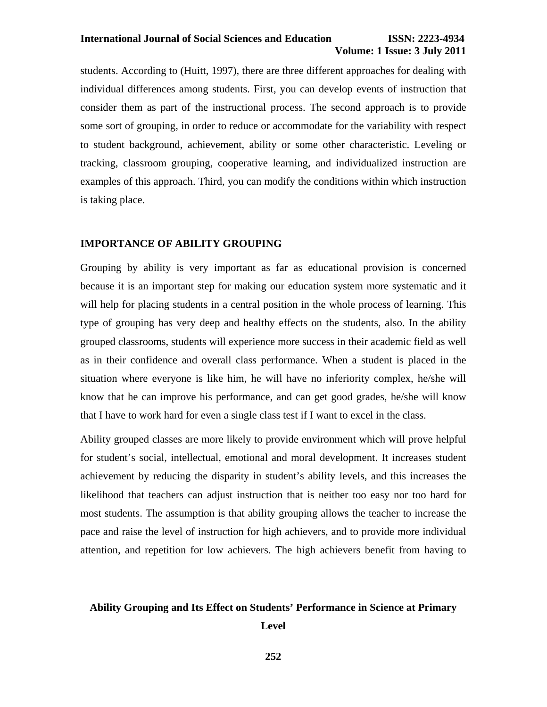# **Volume: 1 Issue: 3 July 2011**

students. According to (Huitt, 1997), there are three different approaches for dealing with individual differences among students. First, you can develop events of instruction that consider them as part of the instructional process. The second approach is to provide some sort of grouping, in order to reduce or accommodate for the variability with respect to student background, achievement, ability or some other characteristic. Leveling or tracking, classroom grouping, cooperative learning, and individualized instruction are examples of this approach. Third, you can modify the conditions within which instruction is taking place.

#### **IMPORTANCE OF ABILITY GROUPING**

Grouping by ability is very important as far as educational provision is concerned because it is an important step for making our education system more systematic and it will help for placing students in a central position in the whole process of learning. This type of grouping has very deep and healthy effects on the students, also. In the ability grouped classrooms, students will experience more success in their academic field as well as in their confidence and overall class performance. When a student is placed in the situation where everyone is like him, he will have no inferiority complex, he/she will know that he can improve his performance, and can get good grades, he/she will know that I have to work hard for even a single class test if I want to excel in the class.

Ability grouped classes are more likely to provide environment which will prove helpful for student's social, intellectual, emotional and moral development. It increases student achievement by reducing the disparity in student's ability levels, and this increases the likelihood that teachers can adjust instruction that is neither too easy nor too hard for most students. The assumption is that ability grouping allows the teacher to increase the pace and raise the level of instruction for high achievers, and to provide more individual attention, and repetition for low achievers. The high achievers benefit from having to

#### **Ability Grouping and Its Effect on Students' Performance in Science at Primary**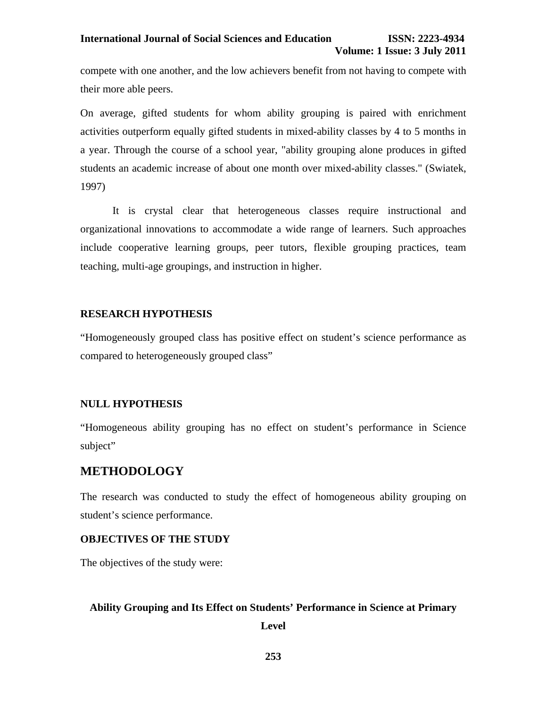compete with one another, and the low achievers benefit from not having to compete with their more able peers.

On average, gifted students for whom ability grouping is paired with enrichment activities outperform equally gifted students in mixed-ability classes by 4 to 5 months in a year. Through the course of a school year, "ability grouping alone produces in gifted students an academic increase of about one month over mixed-ability classes." (Swiatek, 1997)

It is crystal clear that heterogeneous classes require instructional and organizational innovations to accommodate a wide range of learners. Such approaches include cooperative learning groups, peer tutors, flexible grouping practices, team teaching, multi-age groupings, and instruction in higher.

#### **RESEARCH HYPOTHESIS**

"Homogeneously grouped class has positive effect on student's science performance as compared to heterogeneously grouped class"

#### **NULL HYPOTHESIS**

"Homogeneous ability grouping has no effect on student's performance in Science subject"

# **METHODOLOGY**

The research was conducted to study the effect of homogeneous ability grouping on student's science performance.

#### **OBJECTIVES OF THE STUDY**

The objectives of the study were:

#### **Ability Grouping and Its Effect on Students' Performance in Science at Primary**

**Level** 

**253**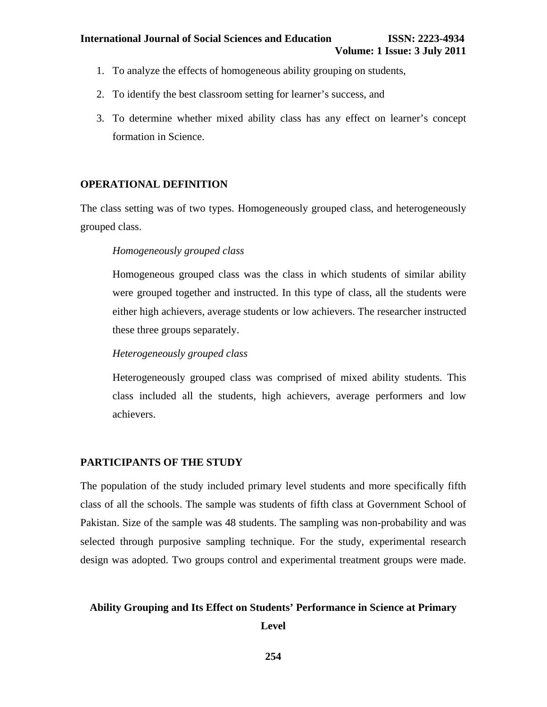- 1. To analyze the effects of homogeneous ability grouping on students,
- 2. To identify the best classroom setting for learner's success, and
- 3. To determine whether mixed ability class has any effect on learner's concept formation in Science.

## **OPERATIONAL DEFINITION**

The class setting was of two types. Homogeneously grouped class, and heterogeneously grouped class.

### *Homogeneously grouped class*

Homogeneous grouped class was the class in which students of similar ability were grouped together and instructed. In this type of class, all the students were either high achievers, average students or low achievers. The researcher instructed these three groups separately.

# *Heterogeneously grouped class*

Heterogeneously grouped class was comprised of mixed ability students. This class included all the students, high achievers, average performers and low achievers.

#### **PARTICIPANTS OF THE STUDY**

The population of the study included primary level students and more specifically fifth class of all the schools. The sample was students of fifth class at Government School of Pakistan. Size of the sample was 48 students. The sampling was non-probability and was selected through purposive sampling technique. For the study, experimental research design was adopted. Two groups control and experimental treatment groups were made.

#### **Ability Grouping and Its Effect on Students' Performance in Science at Primary**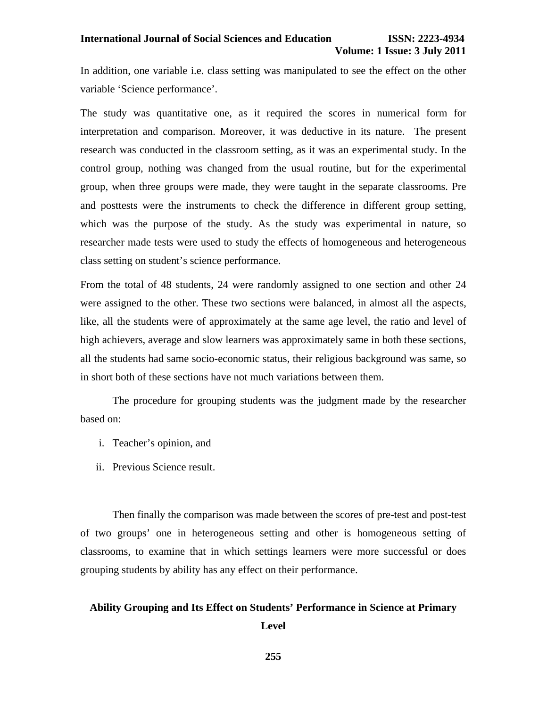In addition, one variable i.e. class setting was manipulated to see the effect on the other variable 'Science performance'.

The study was quantitative one, as it required the scores in numerical form for interpretation and comparison. Moreover, it was deductive in its nature. The present research was conducted in the classroom setting, as it was an experimental study. In the control group, nothing was changed from the usual routine, but for the experimental group, when three groups were made, they were taught in the separate classrooms. Pre and posttests were the instruments to check the difference in different group setting, which was the purpose of the study. As the study was experimental in nature, so researcher made tests were used to study the effects of homogeneous and heterogeneous class setting on student's science performance.

From the total of 48 students, 24 were randomly assigned to one section and other 24 were assigned to the other. These two sections were balanced, in almost all the aspects, like, all the students were of approximately at the same age level, the ratio and level of high achievers, average and slow learners was approximately same in both these sections, all the students had same socio-economic status, their religious background was same, so in short both of these sections have not much variations between them.

The procedure for grouping students was the judgment made by the researcher based on:

- i. Teacher's opinion, and
- ii. Previous Science result.

Then finally the comparison was made between the scores of pre-test and post-test of two groups' one in heterogeneous setting and other is homogeneous setting of classrooms, to examine that in which settings learners were more successful or does grouping students by ability has any effect on their performance.

# **Ability Grouping and Its Effect on Students' Performance in Science at Primary Level**

**255**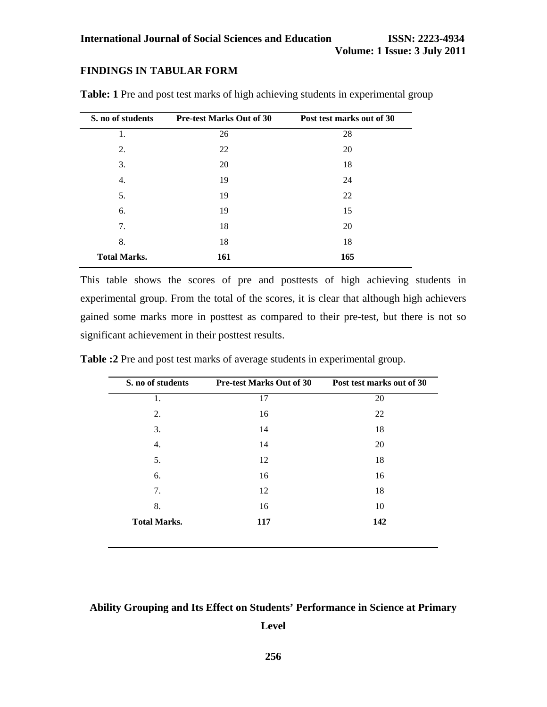# **FINDINGS IN TABULAR FORM**

| S. no of students   | <b>Pre-test Marks Out of 30</b> | Post test marks out of 30 |
|---------------------|---------------------------------|---------------------------|
| 1.                  | 26                              | 28                        |
| 2.                  | 22                              | 20                        |
| 3.                  | 20                              | 18                        |
| 4.                  | 19                              | 24                        |
| 5.                  | 19                              | 22                        |
| 6.                  | 19                              | 15                        |
| 7.                  | 18                              | 20                        |
| 8.                  | 18                              | 18                        |
| <b>Total Marks.</b> | 161                             | 165                       |

**Table: 1** Pre and post test marks of high achieving students in experimental group

This table shows the scores of pre and posttests of high achieving students in experimental group. From the total of the scores, it is clear that although high achievers gained some marks more in posttest as compared to their pre-test, but there is not so significant achievement in their posttest results.

| S. no of students   | <b>Pre-test Marks Out of 30</b> | Post test marks out of 30 |
|---------------------|---------------------------------|---------------------------|
| 1.                  | 17                              | 20                        |
| 2.                  | 16                              | 22                        |
| 3.                  | 14                              | 18                        |
| 4.                  | 14                              | 20                        |
| 5.                  | 12                              | 18                        |
| 6.                  | 16                              | 16                        |
| 7.                  | 12                              | 18                        |
| 8.                  | 16                              | 10                        |
| <b>Total Marks.</b> | 117                             | 142                       |

**Table :2** Pre and post test marks of average students in experimental group.

## **Ability Grouping and Its Effect on Students' Performance in Science at Primary**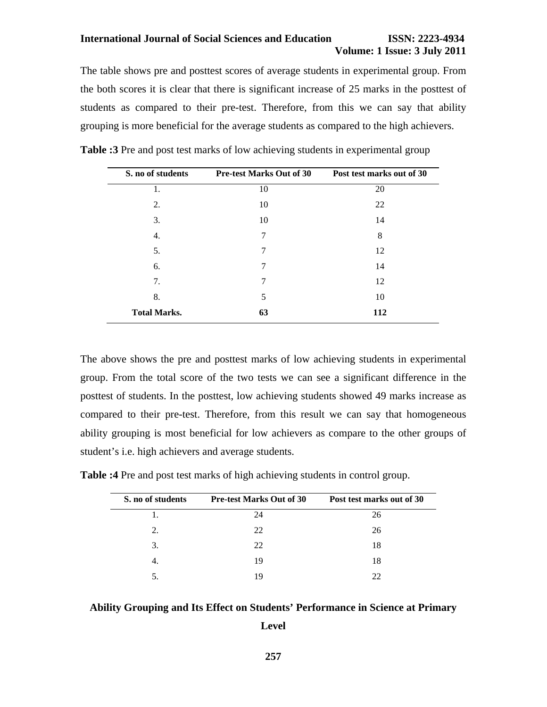#### **International Journal of Social Sciences and Education ISSN: 2223-4934**

# **Volume: 1 Issue: 3 July 2011**

The table shows pre and posttest scores of average students in experimental group. From the both scores it is clear that there is significant increase of 25 marks in the posttest of students as compared to their pre-test. Therefore, from this we can say that ability grouping is more beneficial for the average students as compared to the high achievers.

| S. no of students   | <b>Pre-test Marks Out of 30</b> | Post test marks out of 30 |
|---------------------|---------------------------------|---------------------------|
| 1.                  | 10                              | 20                        |
| 2.                  | 10                              | 22                        |
| 3.                  | 10                              | 14                        |
| 4.                  | 7                               | 8                         |
| 5.                  | 7                               | 12                        |
| 6.                  | 7                               | 14                        |
| 7.                  | 7                               | 12                        |
| 8.                  | 5                               | 10                        |
| <b>Total Marks.</b> | 63                              | 112                       |
|                     |                                 |                           |

**Table :3** Pre and post test marks of low achieving students in experimental group

The above shows the pre and posttest marks of low achieving students in experimental group. From the total score of the two tests we can see a significant difference in the posttest of students. In the posttest, low achieving students showed 49 marks increase as compared to their pre-test. Therefore, from this result we can say that homogeneous ability grouping is most beneficial for low achievers as compare to the other groups of student's i.e. high achievers and average students.

| S. no of students | <b>Pre-test Marks Out of 30</b> | Post test marks out of 30 |
|-------------------|---------------------------------|---------------------------|
| Ι.                | 24                              | 26                        |
| 2.                | 22                              | 26                        |
| 3.                | 22                              | 18                        |
| 4.                | 19                              | 18                        |
|                   | 19                              | 22                        |

**Table :4** Pre and post test marks of high achieving students in control group.

#### **Ability Grouping and Its Effect on Students' Performance in Science at Primary**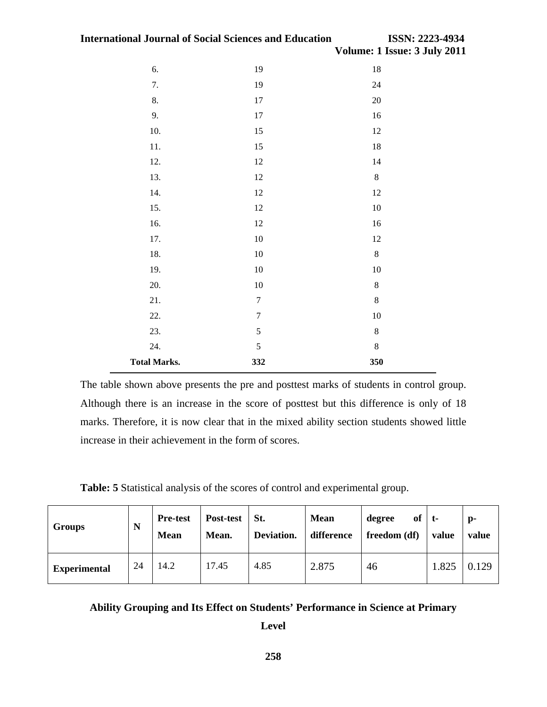| 6.                  | 19               | $18\,$           |
|---------------------|------------------|------------------|
| 7.                  | 19               | 24               |
| 8.                  | $17\,$           | $20\,$           |
| 9.                  | $17\,$           | 16               |
| 10.                 | 15               | 12               |
| 11.                 | 15               | $18\,$           |
| 12.                 | 12               | 14               |
| 13.                 | $12\,$           | $8\,$            |
| 14.                 | $12\,$           | $12\,$           |
| 15.                 | 12               | $10\,$           |
| 16.                 | $12\,$           | 16               |
| 17.                 | $10\,$           | $12\,$           |
| 18.                 | $10\,$           | $8\,$            |
| 19.                 | $10\,$           | $10\,$           |
| 20.                 | $10\,$           | $\boldsymbol{8}$ |
| 21.                 | $\boldsymbol{7}$ | $\,8\,$          |
| 22.                 | $\boldsymbol{7}$ | $10\,$           |
| 23.                 | 5                | $\,8\,$          |
| 24.                 | $\mathfrak s$    | $\,8\,$          |
| <b>Total Marks.</b> | 332              | 350              |

The table shown above presents the pre and posttest marks of students in control group. Although there is an increase in the score of posttest but this difference is only of 18 marks. Therefore, it is now clear that in the mixed ability section students showed little increase in their achievement in the form of scores.

**Table: 5** Statistical analysis of the scores of control and experimental group.

| <b>Groups</b>       | N  | <b>Pre-test</b><br><b>Mean</b> | Post-test<br>Mean. | St.<br>Deviation. | <b>Mean</b><br>difference | of<br>degree<br>freedom (df) | t-<br>value | $\mathbf{p}$ -<br>value |
|---------------------|----|--------------------------------|--------------------|-------------------|---------------------------|------------------------------|-------------|-------------------------|
| <b>Experimental</b> | 24 | 14.2                           | 17.45              | 4.85              | 2.875                     | 46                           | 1.825       | 0.129                   |

# **Ability Grouping and Its Effect on Students' Performance in Science at Primary**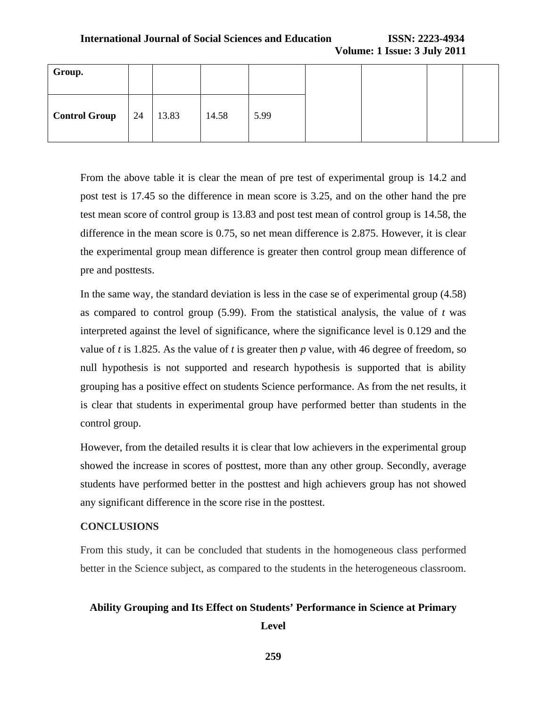| Group.                  |       |       |      |  |  |
|-------------------------|-------|-------|------|--|--|
| <b>Control Group</b> 24 | 13.83 | 14.58 | 5.99 |  |  |

From the above table it is clear the mean of pre test of experimental group is 14.2 and post test is 17.45 so the difference in mean score is 3.25, and on the other hand the pre test mean score of control group is 13.83 and post test mean of control group is 14.58, the difference in the mean score is 0.75, so net mean difference is 2.875. However, it is clear the experimental group mean difference is greater then control group mean difference of pre and posttests.

In the same way, the standard deviation is less in the case se of experimental group (4.58) as compared to control group  $(5.99)$ . From the statistical analysis, the value of *t* was interpreted against the level of significance, where the significance level is 0.129 and the value of *t* is 1.825. As the value of *t* is greater then *p* value, with 46 degree of freedom, so null hypothesis is not supported and research hypothesis is supported that is ability grouping has a positive effect on students Science performance. As from the net results, it is clear that students in experimental group have performed better than students in the control group.

However, from the detailed results it is clear that low achievers in the experimental group showed the increase in scores of posttest, more than any other group. Secondly, average students have performed better in the posttest and high achievers group has not showed any significant difference in the score rise in the posttest.

## **CONCLUSIONS**

From this study, it can be concluded that students in the homogeneous class performed better in the Science subject, as compared to the students in the heterogeneous classroom.

## **Ability Grouping and Its Effect on Students' Performance in Science at Primary**

**Level** 

**259**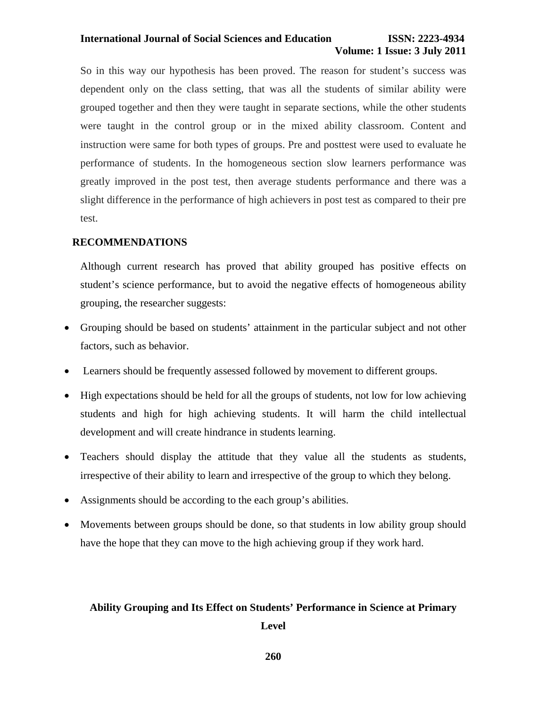#### **International Journal of Social Sciences and Education ISSN: 2223-4934**

# **Volume: 1 Issue: 3 July 2011**

So in this way our hypothesis has been proved. The reason for student's success was dependent only on the class setting, that was all the students of similar ability were grouped together and then they were taught in separate sections, while the other students were taught in the control group or in the mixed ability classroom. Content and instruction were same for both types of groups. Pre and posttest were used to evaluate he performance of students. In the homogeneous section slow learners performance was greatly improved in the post test, then average students performance and there was a slight difference in the performance of high achievers in post test as compared to their pre test.

### **RECOMMENDATIONS**

Although current research has proved that ability grouped has positive effects on student's science performance, but to avoid the negative effects of homogeneous ability grouping, the researcher suggests:

- Grouping should be based on students' attainment in the particular subject and not other factors, such as behavior.
- Learners should be frequently assessed followed by movement to different groups.
- High expectations should be held for all the groups of students, not low for low achieving students and high for high achieving students. It will harm the child intellectual development and will create hindrance in students learning.
- Teachers should display the attitude that they value all the students as students, irrespective of their ability to learn and irrespective of the group to which they belong.
- Assignments should be according to the each group's abilities.
- Movements between groups should be done, so that students in low ability group should have the hope that they can move to the high achieving group if they work hard.

## **Ability Grouping and Its Effect on Students' Performance in Science at Primary**